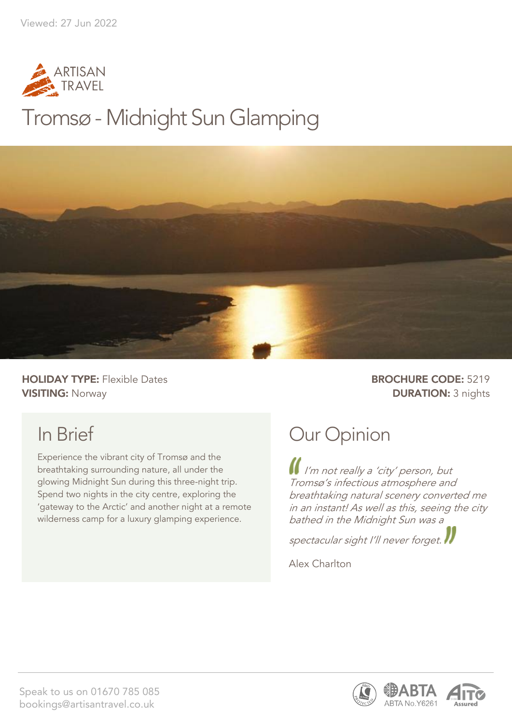

## Tromsø - Midnight Sun Glamping



**HOLIDAY TYPE:** Flexible Dates **BROCHURE CODE:** 5219 **VISITING:** Norway **DURATION:** 3 nights

## In Brief

Experience the vibrant city of Tromsø and the breathtaking surrounding nature, all under the glowing Midnight Sun during this three-night trip. Spend two nights in the city centre, exploring the 'gateway to the Arctic' and another night at a remote wilderness camp for a luxury glamping experience.

## Our Opinion

I'm not really a 'city' person, but Tromsø's infectious atmosphere and breathtaking natural scenery converted me in an instant! As well as this, seeing the city bathed in the Midnight Sun was a

spectacular sight I'll never forget.

Alex Charlton



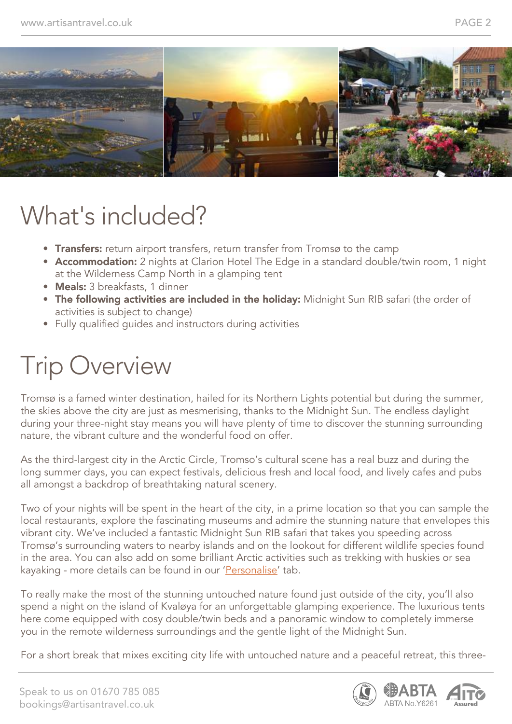

## What's included?

- Transfers: return airport transfers, return transfer from Tromsø to the camp
- Accommodation: 2 nights at Clarion Hotel The Edge in a standard double/twin room, 1 night at the Wilderness Camp North in a glamping tent
- Meals: 3 breakfasts, 1 dinner
- The following activities are included in the holiday: Midnight Sun RIB safari (the order of activities is subject to change)
- Fully qualified guides and instructors during activities

## Trip Overview

Tromsø is a famed winter destination, hailed for its Northern Lights potential but during the summer, the skies above the city are just as mesmerising, thanks to the Midnight Sun. The endless daylight during your three-night stay means you will have plenty of time to discover the stunning surrounding nature, the vibrant culture and the wonderful food on offer.

As the third-largest city in the Arctic Circle, Tromso's cultural scene has a real buzz and during the long summer days, you can expect festivals, delicious fresh and local food, and lively cafes and pubs all amongst a backdrop of breathtaking natural scenery.

Two of your nights will be spent in the heart of the city, in a prime location so that you can sample the local restaurants, explore the fascinating museums and admire the stunning nature that envelopes this vibrant city. We've included a fantastic Midnight Sun RIB safari that takes you speeding across Tromsø's surrounding waters to nearby islands and on the lookout for different wildlife species found in the area. You can also add on some brilliant Arctic activities such as trekking with huskies or sea kayaking - more details can be found in our 'Personalise' tab.

To really make the most of the stunning untouched nature found just outside of the city, you'll also spend a night on the island of Kvaløya for an unforgettable glamping experience. The luxurious tents here come equipped with cosy double/twin beds and a panoramic window to completely immerse you in the remote wilderness surroundings and the gentle light of the Midnight Sun.

For a short break that mixes exciting city life with untouched nature and a peaceful retreat, this three-

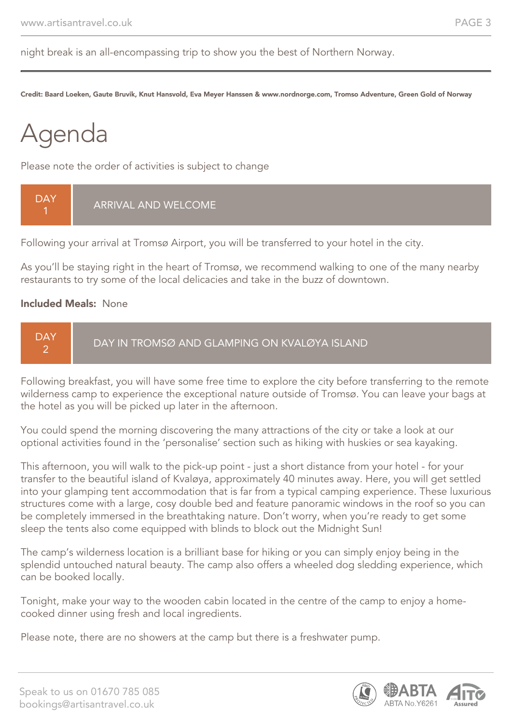night break is an all-encompassing trip to show you the best of Northern Norway.

Credit: Baard Loeken, Gaute Bruvik, Knut Hansvold, Eva Meyer Hanssen & www.nordnorge.com, Tromso Adventure, Green Gold of Norway

# Agenda

Please note the order of activities is subject to change



Following your arrival at Tromsø Airport, you will be transferred to your hotel in the city.

As you'll be staying right in the heart of Tromsø, we recommend walking to one of the many nearby restaurants to try some of the local delicacies and take in the buzz of downtown.

#### Included Meals: None



Following breakfast, you will have some free time to explore the city before transferring to the remote wilderness camp to experience the exceptional nature outside of Tromsø. You can leave your bags at the hotel as you will be picked up later in the afternoon.

You could spend the morning discovering the many attractions of the city or take a look at our optional activities found in the 'personalise' section such as hiking with huskies or sea kayaking.

This afternoon, you will walk to the pick-up point - just a short distance from your hotel - for your transfer to the beautiful island of Kvaløya, approximately 40 minutes away. Here, you will get settled into your glamping tent accommodation that is far from a typical camping experience. These luxurious structures come with a large, cosy double bed and feature panoramic windows in the roof so you can be completely immersed in the breathtaking nature. Don't worry, when you're ready to get some sleep the tents also come equipped with blinds to block out the Midnight Sun!

The camp's wilderness location is a brilliant base for hiking or you can simply enjoy being in the splendid untouched natural beauty. The camp also offers a wheeled dog sledding experience, which can be booked locally.

Tonight, make your way to the wooden cabin located in the centre of the camp to enjoy a homecooked dinner using fresh and local ingredients.

Please note, there are no showers at the camp but there is a freshwater pump.

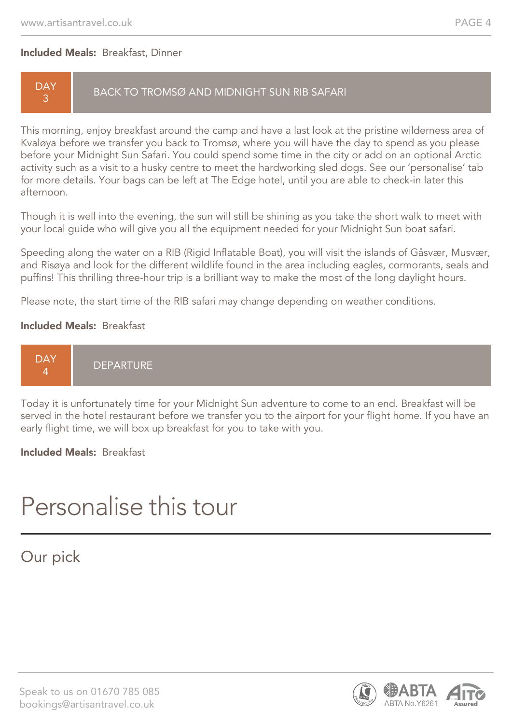#### Included Meals: Breakfast, Dinner

#### **DAY** 3

#### BACK TO TROMSØ AND MIDNIGHT SUN RIB SAFARI

This morning, enjoy breakfast around the camp and have a last look at the pristine wilderness area of Kvaløya before we transfer you back to Tromsø, where you will have the day to spend as you please before your Midnight Sun Safari. You could spend some time in the city or add on an optional Arctic activity such as a visit to a husky centre to meet the hardworking sled dogs. See our 'personalise' tab for more details. Your bags can be left at The Edge hotel, until you are able to check-in later this afternoon.

Though it is well into the evening, the sun will still be shining as you take the short walk to meet with your local guide who will give you all the equipment needed for your Midnight Sun boat safari.

Speeding along the water on a RIB (Rigid Inflatable Boat), you will visit the islands of Gåsvær, Musvær, and Risøya and look for the different wildlife found in the area including eagles, cormorants, seals and puffins! This thrilling three-hour trip is a brilliant way to make the most of the long daylight hours.

Please note, the start time of the RIB safari may change depending on weather conditions.

#### Included Meals: Breakfast



Today it is unfortunately time for your Midnight Sun adventure to come to an end. Breakfast will be served in the hotel restaurant before we transfer you to the airport for your flight home. If you have an early flight time, we will box up breakfast for you to take with you.

Included Meals: Breakfast

## Personalise this tour

#### Our pick

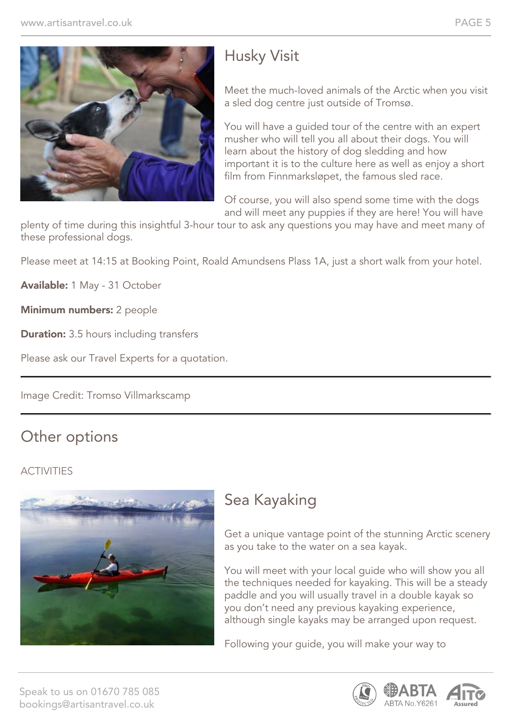

### Husky Visit

Meet the much-loved animals of the Arctic when you visit a sled dog centre just outside of Tromsø.

You will have a guided tour of the centre with an expert musher who will tell you all about their dogs. You will learn about the history of dog sledding and how important it is to the culture here as well as enjoy a short film from Finnmarksløpet, the famous sled race.

Of course, you will also spend some time with the dogs and will meet any puppies if they are here! You will have

plenty of time during this insightful 3-hour tour to ask any questions you may have and meet many of these professional dogs.

Please meet at 14:15 at Booking Point, Roald Amundsens Plass 1A, just a short walk from your hotel.

Available: 1 May - 31 October

Minimum numbers: 2 people

**Duration:** 3.5 hours including transfers

Please ask our Travel Experts for a quotation.

Image Credit: Tromso Villmarkscamp

#### Other options

#### **ACTIVITIES**



### Sea Kayaking

Get a unique vantage point of the stunning Arctic scenery as you take to the water on a sea kayak.

You will meet with your local guide who will show you all the techniques needed for kayaking. This will be a steady paddle and you will usually travel in a double kayak so you don't need any previous kayaking experience, although single kayaks may be arranged upon request.

Following your guide, you will make your way to

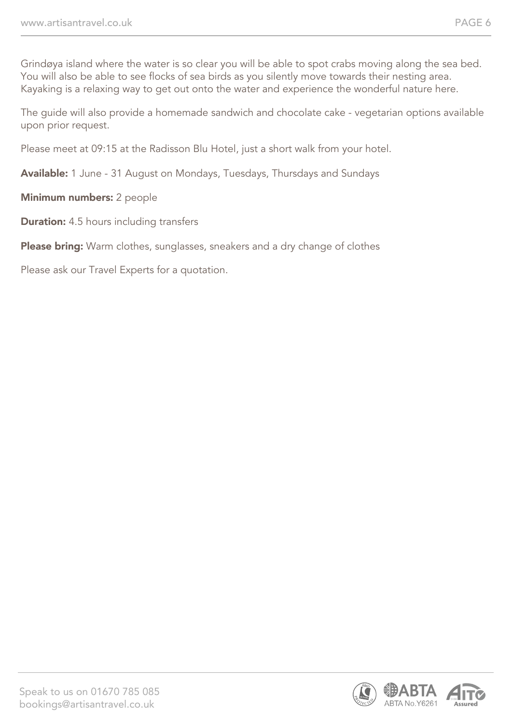Grindøya island where the water is so clear you will be able to spot crabs moving along the sea bed. You will also be able to see flocks of sea birds as you silently move towards their nesting area. Kayaking is a relaxing way to get out onto the water and experience the wonderful nature here.

The guide will also provide a homemade sandwich and chocolate cake - vegetarian options available upon prior request.

Please meet at 09:15 at the Radisson Blu Hotel, just a short walk from your hotel.

Available: 1 June - 31 August on Mondays, Tuesdays, Thursdays and Sundays

Minimum numbers: 2 people

**Duration:** 4.5 hours including transfers

Please bring: Warm clothes, sunglasses, sneakers and a dry change of clothes

Please ask our Travel Experts for a quotation.

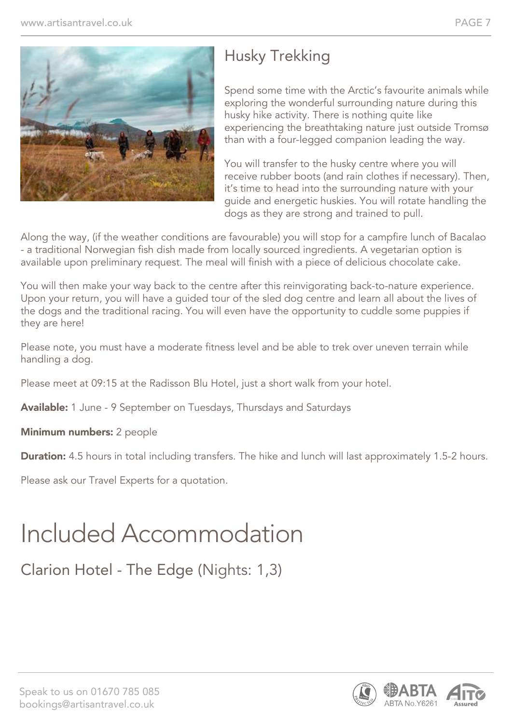

### Husky Trekking

Spend some time with the Arctic's favourite animals while exploring the wonderful surrounding nature during this husky hike activity. There is nothing quite like experiencing the breathtaking nature just outside Tromsø than with a four-legged companion leading the way.

You will transfer to the husky centre where you will receive rubber boots (and rain clothes if necessary). Then, it's time to head into the surrounding nature with your guide and energetic huskies. You will rotate handling the dogs as they are strong and trained to pull.

Along the way, (if the weather conditions are favourable) you will stop for a campfire lunch of Bacalao - a traditional Norwegian fish dish made from locally sourced ingredients. A vegetarian option is available upon preliminary request. The meal will finish with a piece of delicious chocolate cake.

You will then make your way back to the centre after this reinvigorating back-to-nature experience. Upon your return, you will have a guided tour of the sled dog centre and learn all about the lives of the dogs and the traditional racing. You will even have the opportunity to cuddle some puppies if they are here!

Please note, you must have a moderate fitness level and be able to trek over uneven terrain while handling a dog.

Please meet at 09:15 at the Radisson Blu Hotel, just a short walk from your hotel.

Available: 1 June - 9 September on Tuesdays, Thursdays and Saturdays

Minimum numbers: 2 people

**Duration:** 4.5 hours in total including transfers. The hike and lunch will last approximately 1.5-2 hours.

Please ask our Travel Experts for a quotation.

## Included Accommodation

Clarion Hotel - The Edge (Nights: 1,3)

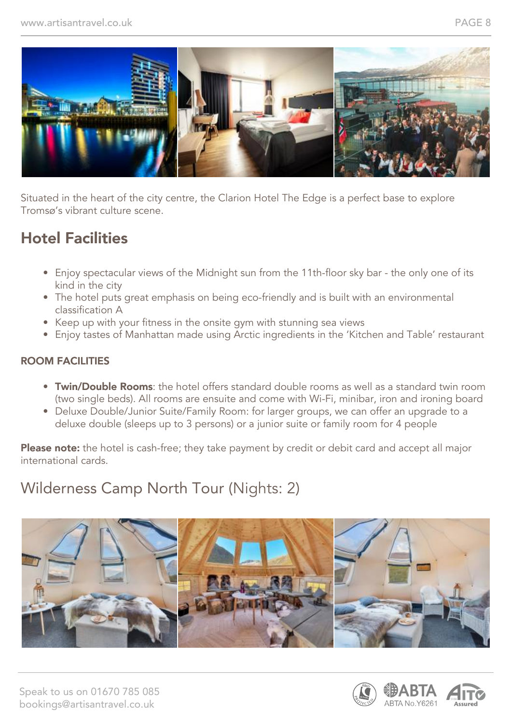

Situated in the heart of the city centre, the Clarion Hotel The Edge is a perfect base to explore Tromsø's vibrant culture scene.

### Hotel Facilities

- Enjoy spectacular views of the Midnight sun from the 11th-floor sky bar the only one of its kind in the city
- The hotel puts great emphasis on being eco-friendly and is built with an environmental classification A
- Keep up with your fitness in the onsite gym with stunning sea views
- Enjoy tastes of Manhattan made using Arctic ingredients in the 'Kitchen and Table' restaurant

#### ROOM FACILITIES

- Twin/Double Rooms: the hotel offers standard double rooms as well as a standard twin room (two single beds). All rooms are ensuite and come with Wi-Fi, minibar, iron and ironing board
- Deluxe Double/Junior Suite/Family Room: for larger groups, we can offer an upgrade to a deluxe double (sleeps up to 3 persons) or a junior suite or family room for 4 people

Please note: the hotel is cash-free; they take payment by credit or debit card and accept all major international cards.

#### Wilderness Camp North Tour (Nights: 2)



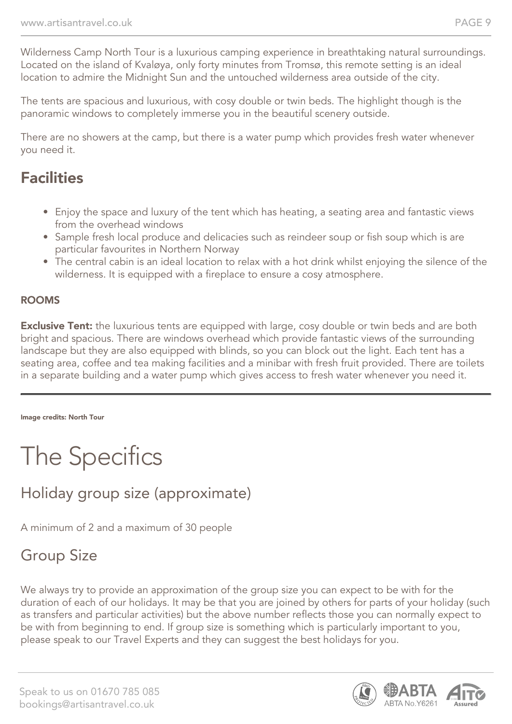Wilderness Camp North Tour is a luxurious camping experience in breathtaking natural surroundings. Located on the island of Kvaløya, only forty minutes from Tromsø, this remote setting is an ideal location to admire the Midnight Sun and the untouched wilderness area outside of the city.

The tents are spacious and luxurious, with cosy double or twin beds. The highlight though is the panoramic windows to completely immerse you in the beautiful scenery outside.

There are no showers at the camp, but there is a water pump which provides fresh water whenever you need it.

#### **Facilities**

- Enjoy the space and luxury of the tent which has heating, a seating area and fantastic views from the overhead windows
- Sample fresh local produce and delicacies such as reindeer soup or fish soup which is are particular favourites in Northern Norway
- The central cabin is an ideal location to relax with a hot drink whilst enjoying the silence of the wilderness. It is equipped with a fireplace to ensure a cosy atmosphere.

#### ROOMS

**Exclusive Tent:** the luxurious tents are equipped with large, cosy double or twin beds and are both bright and spacious. There are windows overhead which provide fantastic views of the surrounding landscape but they are also equipped with blinds, so you can block out the light. Each tent has a seating area, coffee and tea making facilities and a minibar with fresh fruit provided. There are toilets in a separate building and a water pump which gives access to fresh water whenever you need it.

Image credits: North Tour

## The Specifics

### Holiday group size (approximate)

A minimum of 2 and a maximum of 30 people

### Group Size

We always try to provide an approximation of the group size you can expect to be with for the duration of each of our holidays. It may be that you are joined by others for parts of your holiday (such as transfers and particular activities) but the above number reflects those you can normally expect to be with from beginning to end. If group size is something which is particularly important to you, please speak to our Travel Experts and they can suggest the best holidays for you.